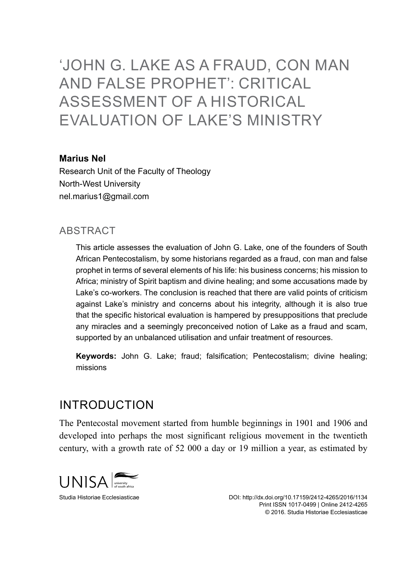# 'JOHN G. LAKE AS A FRAUD, CON MAN AND FALSE PROPHET': CRITICAL ASSESSMENT OF A HISTORICAL EVALUATION OF LAKE'S MINISTRY

#### **Marius Nel**

Research Unit of the Faculty of Theology North-West University nel.marius1@gmail.com

#### **ABSTRACT**

This article assesses the evaluation of John G. Lake, one of the founders of South African Pentecostalism, by some historians regarded as a fraud, con man and false prophet in terms of several elements of his life: his business concerns; his mission to Africa; ministry of Spirit baptism and divine healing; and some accusations made by Lake's co-workers. The conclusion is reached that there are valid points of criticism against Lake's ministry and concerns about his integrity, although it is also true that the specific historical evaluation is hampered by presuppositions that preclude any miracles and a seemingly preconceived notion of Lake as a fraud and scam, supported by an unbalanced utilisation and unfair treatment of resources.

**Keywords:** John G. Lake; fraud; falsification; Pentecostalism; divine healing; missions

### Introduction

The Pentecostal movement started from humble beginnings in 1901 and 1906 and developed into perhaps the most significant religious movement in the twentieth century, with a growth rate of 52 000 a day or 19 million a year, as estimated by

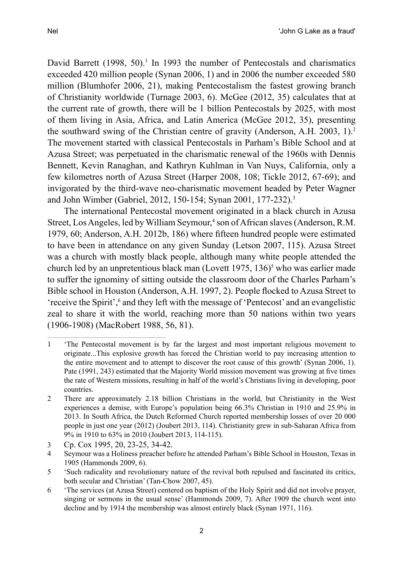David Barrett  $(1998, 50)^{1}$  In 1993 the number of Pentecostals and charismatics exceeded 420 million people (Synan 2006, 1) and in 2006 the number exceeded 580 million (Blumhofer 2006, 21), making Pentecostalism the fastest growing branch of Christianity worldwide (Turnage 2003, 6). McGee (2012, 35) calculates that at the current rate of growth, there will be 1 billion Pentecostals by 2025, with most of them living in Asia, Africa, and Latin America (McGee 2012, 35), presenting the southward swing of the Christian centre of gravity (Anderson, A.H. 2003, 1).<sup>2</sup> The movement started with classical Pentecostals in Parham's Bible School and at Azusa Street; was perpetuated in the charismatic renewal of the 1960s with Dennis Bennett, Kevin Ranaghan, and Kathryn Kuhlman in Van Nuys, California, only a few kilometres north of Azusa Street (Harper 2008, 108; Tickle 2012, 67-69); and invigorated by the third-wave neo-charismatic movement headed by Peter Wagner

The international Pentecostal movement originated in a black church in Azusa Street, Los Angeles, led by William Seymour,<sup>4</sup> son of African slaves (Anderson, R.M. 1979, 60; Anderson, A.H. 2012b, 186) where fifteen hundred people were estimated to have been in attendance on any given Sunday (Letson 2007, 115). Azusa Street was a church with mostly black people, although many white people attended the church led by an unpretentious black man (Lovett 1975, 136)<sup>5</sup> who was earlier made to suffer the ignominy of sitting outside the classroom door of the Charles Parham's Bible school in Houston (Anderson, A.H. 1997, 2). People flocked to Azusa Street to 'receive the Spirit',<sup>6</sup> and they left with the message of 'Pentecost' and an evangelistic zeal to share it with the world, reaching more than 50 nations within two years (1906-1908) (MacRobert 1988, 56, 81).

and John Wimber (Gabriel, 2012, 150-154; Synan 2001, 177-232).<sup>3</sup>

<sup>1</sup> 'The Pentecostal movement is by far the largest and most important religious movement to originate...This explosive growth has forced the Christian world to pay increasing attention to the entire movement and to attempt to discover the root cause of this growth' (Synan 2006, 1). Pate (1991, 243) estimated that the Majority World mission movement was growing at five times the rate of Western missions, resulting in half of the world's Christians living in developing, poor countries.

<sup>2</sup> There are approximately 2.18 billion Christians in the world, but Christianity in the West experiences a demise, with Europe's population being 66.3% Christian in 1910 and 25.9% in 2013. In South Africa, the Dutch Reformed Church reported membership losses of over 20 000 people in just one year (2012) (Joubert 2013, 114). Christianity grew in sub-Saharan Africa from 9% in 1910 to 63% in 2010 (Joubert 2013, 114-115).

<sup>3</sup> Cp. Cox 1995, 20, 23-25, 34-42.

<sup>4</sup> Seymour was a Holiness preacher before he attended Parham's Bible School in Houston, Texas in 1905 (Hammonds 2009, 6).

<sup>5</sup> 'Such radicality and revolutionary nature of the revival both repulsed and fascinated its critics, both secular and Christian' (Tan-Chow 2007, 45).

<sup>6</sup> 'The services (at Azusa Street) centered on baptism of the Holy Spirit and did not involve prayer, singing or sermons in the usual sense' (Hammonds 2009, 7). After 1909 the church went into decline and by 1914 the membership was almost entirely black (Synan 1971, 116).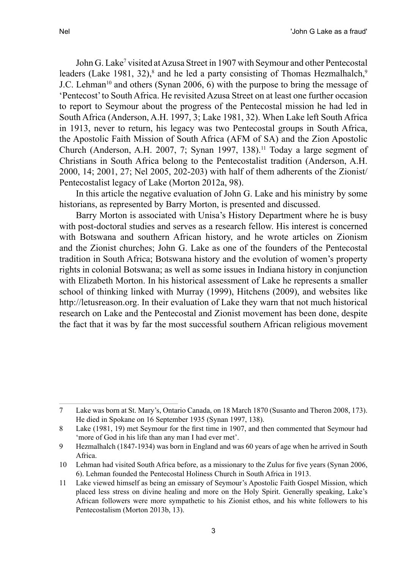John G. Lake<sup>7</sup> visited at Azusa Street in 1907 with Seymour and other Pentecostal leaders (Lake 1981, 32),<sup>8</sup> and he led a party consisting of Thomas Hezmalhalch,<sup>9</sup> J.C. Lehman<sup>10</sup> and others (Synan 2006, 6) with the purpose to bring the message of 'Pentecost' to South Africa. He revisited Azusa Street on at least one further occasion to report to Seymour about the progress of the Pentecostal mission he had led in South Africa (Anderson, A.H. 1997, 3; Lake 1981, 32). When Lake left South Africa in 1913, never to return, his legacy was two Pentecostal groups in South Africa, the Apostolic Faith Mission of South Africa (AFM of SA) and the Zion Apostolic Church (Anderson, A.H. 2007, 7; Synan 1997, 138).<sup>11</sup> Today a large segment of Christians in South Africa belong to the Pentecostalist tradition (Anderson, A.H. 2000, 14; 2001, 27; Nel 2005, 202-203) with half of them adherents of the Zionist/ Pentecostalist legacy of Lake (Morton 2012a, 98).

In this article the negative evaluation of John G. Lake and his ministry by some historians, as represented by Barry Morton, is presented and discussed.

Barry Morton is associated with Unisa's History Department where he is busy with post-doctoral studies and serves as a research fellow. His interest is concerned with Botswana and southern African history, and he wrote articles on Zionism and the Zionist churches; John G. Lake as one of the founders of the Pentecostal tradition in South Africa; Botswana history and the evolution of women's property rights in colonial Botswana; as well as some issues in Indiana history in conjunction with Elizabeth Morton. In his historical assessment of Lake he represents a smaller school of thinking linked with Murray (1999), Hitchens (2009), and websites like http://letusreason.org. In their evaluation of Lake they warn that not much historical research on Lake and the Pentecostal and Zionist movement has been done, despite the fact that it was by far the most successful southern African religious movement

<sup>7</sup> Lake was born at St. Mary's, Ontario Canada, on 18 March 1870 (Susanto and Theron 2008, 173). He died in Spokane on 16 September 1935 (Synan 1997, 138).

<sup>8</sup> Lake (1981, 19) met Seymour for the first time in 1907, and then commented that Seymour had 'more of God in his life than any man I had ever met'.

<sup>9</sup> Hezmalhalch (1847-1934) was born in England and was 60 years of age when he arrived in South Africa.

<sup>10</sup> Lehman had visited South Africa before, as a missionary to the Zulus for five years (Synan 2006, 6). Lehman founded the Pentecostal Holiness Church in South Africa in 1913.

<sup>11</sup> Lake viewed himself as being an emissary of Seymour's Apostolic Faith Gospel Mission, which placed less stress on divine healing and more on the Holy Spirit. Generally speaking, Lake's African followers were more sympathetic to his Zionist ethos, and his white followers to his Pentecostalism (Morton 2013b, 13).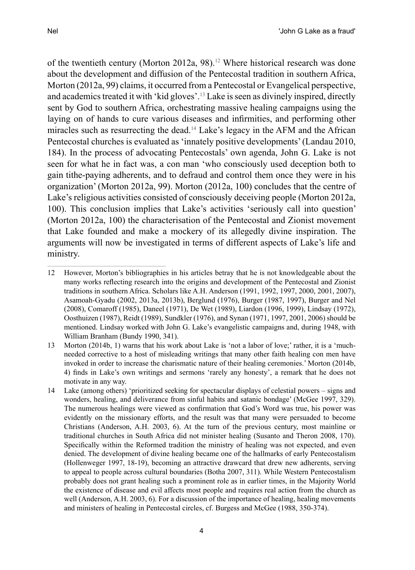of the twentieth century (Morton 2012a, 98).12 Where historical research was done about the development and diffusion of the Pentecostal tradition in southern Africa, Morton (2012a, 99) claims, it occurred from a Pentecostal or Evangelical perspective, and academics treated it with 'kid gloves'.<sup>13</sup> Lake is seen as divinely inspired, directly sent by God to southern Africa, orchestrating massive healing campaigns using the laying on of hands to cure various diseases and infirmities, and performing other miracles such as resurrecting the dead.<sup>14</sup> Lake's legacy in the AFM and the African Pentecostal churches is evaluated as 'innately positive developments' (Landau 2010, 184). In the process of advocating Pentecostals' own agenda, John G. Lake is not seen for what he in fact was, a con man 'who consciously used deception both to gain tithe-paying adherents, and to defraud and control them once they were in his organization' (Morton 2012a, 99). Morton (2012a, 100) concludes that the centre of Lake's religious activities consisted of consciously deceiving people (Morton 2012a, 100). This conclusion implies that Lake's activities 'seriously call into question' (Morton 2012a, 100) the characterisation of the Pentecostal and Zionist movement that Lake founded and make a mockery of its allegedly divine inspiration. The arguments will now be investigated in terms of different aspects of Lake's life and ministry.

<sup>12</sup> However, Morton's bibliographies in his articles betray that he is not knowledgeable about the many works reflecting research into the origins and development of the Pentecostal and Zionist traditions in southern Africa. Scholars like A.H. Anderson (1991, 1992, 1997, 2000, 2001, 2007), Asamoah-Gyadu (2002, 2013a, 2013b), Berglund (1976), Burger (1987, 1997), Burger and Nel (2008), Comaroff (1985), Daneel (1971), De Wet (1989), Liardon (1996, 1999), Lindsay (1972), Oosthuizen (1987), Reidt (1989), Sundkler (1976), and Synan (1971, 1997, 2001, 2006) should be mentioned. Lindsay worked with John G. Lake's evangelistic campaigns and, during 1948, with William Branham (Bundy 1990, 341).

<sup>13</sup> Morton (2014b, 1) warns that his work about Lake is 'not a labor of love;' rather, it is a 'muchneeded corrective to a host of misleading writings that many other faith healing con men have invoked in order to increase the charismatic nature of their healing ceremonies.' Morton (2014b, 4) finds in Lake's own writings and sermons 'rarely any honesty', a remark that he does not motivate in any way.

<sup>14</sup> Lake (among others) 'prioritized seeking for spectacular displays of celestial powers – signs and wonders, healing, and deliverance from sinful habits and satanic bondage' (McGee 1997, 329). The numerous healings were viewed as confirmation that God's Word was true, his power was evidently on the missionary efforts, and the result was that many were persuaded to become Christians (Anderson, A.H. 2003, 6). At the turn of the previous century, most mainline or traditional churches in South Africa did not minister healing (Susanto and Theron 2008, 170). Specifically within the Reformed tradition the ministry of healing was not expected, and even denied. The development of divine healing became one of the hallmarks of early Pentecostalism (Hollenweger 1997, 18-19), becoming an attractive drawcard that drew new adherents, serving to appeal to people across cultural boundaries (Botha 2007, 311). While Western Pentecostalism probably does not grant healing such a prominent role as in earlier times, in the Majority World the existence of disease and evil affects most people and requires real action from the church as well (Anderson, A.H. 2003, 6). For a discussion of the importance of healing, healing movements and ministers of healing in Pentecostal circles, cf. Burgess and McGee (1988, 350-374).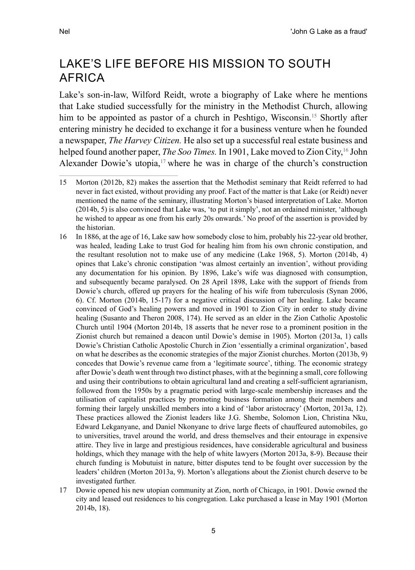## Lake's life before his mission to South **AFRICA**

Lake's son-in-law, Wilford Reidt, wrote a biography of Lake where he mentions that Lake studied successfully for the ministry in the Methodist Church, allowing him to be appointed as pastor of a church in Peshtigo, Wisconsin.<sup>15</sup> Shortly after entering ministry he decided to exchange it for a business venture when he founded a newspaper, *The Harvey Citizen.* He also set up a successful real estate business and helped found another paper, *The Soo Times*. In 1901, Lake moved to Zion City,<sup>16</sup> John Alexander Dowie's utopia, $17$  where he was in charge of the church's construction

17 Dowie opened his new utopian community at Zion, north of Chicago, in 1901. Dowie owned the city and leased out residences to his congregation. Lake purchased a lease in May 1901 (Morton 2014b, 18).

<sup>15</sup> Morton (2012b, 82) makes the assertion that the Methodist seminary that Reidt referred to had never in fact existed, without providing any proof. Fact of the matter is that Lake (or Reidt) never mentioned the name of the seminary, illustrating Morton's biased interpretation of Lake. Morton (2014b, 5) is also convinced that Lake was, 'to put it simply', not an ordained minister, 'although he wished to appear as one from his early 20s onwards.' No proof of the assertion is provided by the historian.

<sup>16</sup> In 1886, at the age of 16, Lake saw how somebody close to him, probably his 22-year old brother, was healed, leading Lake to trust God for healing him from his own chronic constipation, and the resultant resolution not to make use of any medicine (Lake 1968, 5). Morton (2014b, 4) opines that Lake's chronic constipation 'was almost certainly an invention', without providing any documentation for his opinion. By 1896, Lake's wife was diagnosed with consumption, and subsequently became paralysed. On 28 April 1898, Lake with the support of friends from Dowie's church, offered up prayers for the healing of his wife from tuberculosis (Synan 2006, 6). Cf. Morton (2014b, 15-17) for a negative critical discussion of her healing. Lake became convinced of God's healing powers and moved in 1901 to Zion City in order to study divine healing (Susanto and Theron 2008, 174). He served as an elder in the Zion Catholic Apostolic Church until 1904 (Morton 2014b, 18 asserts that he never rose to a prominent position in the Zionist church but remained a deacon until Dowie's demise in 1905). Morton (2013a, 1) calls Dowie's Christian Catholic Apostolic Church in Zion 'essentially a criminal organization', based on what he describes as the economic strategies of the major Zionist churches. Morton (2013b, 9) concedes that Dowie's revenue came from a 'legitimate source', tithing. The economic strategy after Dowie's death went through two distinct phases, with at the beginning a small, core following and using their contributions to obtain agricultural land and creating a self-sufficient agrarianism, followed from the 1950s by a pragmatic period with large-scale membership increases and the utilisation of capitalist practices by promoting business formation among their members and forming their largely unskilled members into a kind of 'labor aristocracy' (Morton, 2013a, 12). These practices allowed the Zionist leaders like J.G. Shembe, Solomon Lion, Christina Nku, Edward Lekganyane, and Daniel Nkonyane to drive large fleets of chauffeured automobiles, go to universities, travel around the world, and dress themselves and their entourage in expensive attire. They live in large and prestigious residences, have considerable agricultural and business holdings, which they manage with the help of white lawyers (Morton 2013a, 8-9). Because their church funding is Mobutuist in nature, bitter disputes tend to be fought over succession by the leaders' children (Morton 2013a, 9). Morton's allegations about the Zionist church deserve to be investigated further.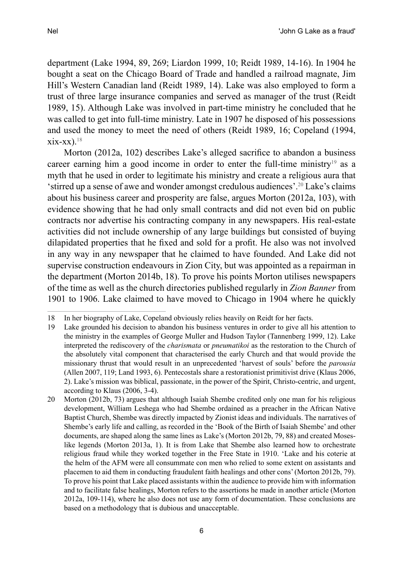department (Lake 1994, 89, 269; Liardon 1999, 10; Reidt 1989, 14-16). In 1904 he bought a seat on the Chicago Board of Trade and handled a railroad magnate, Jim Hill's Western Canadian land (Reidt 1989, 14). Lake was also employed to form a trust of three large insurance companies and served as manager of the trust (Reidt 1989, 15). Although Lake was involved in part-time ministry he concluded that he was called to get into full-time ministry. Late in 1907 he disposed of his possessions and used the money to meet the need of others (Reidt 1989, 16; Copeland (1994,

Morton (2012a, 102) describes Lake's alleged sacrifice to abandon a business career earning him a good income in order to enter the full-time ministry<sup>19</sup> as a myth that he used in order to legitimate his ministry and create a religious aura that 'stirred up a sense of awe and wonder amongst credulous audiences'.20 Lake's claims about his business career and prosperity are false, argues Morton (2012a, 103), with evidence showing that he had only small contracts and did not even bid on public contracts nor advertise his contracting company in any newspapers. His real-estate activities did not include ownership of any large buildings but consisted of buying dilapidated properties that he fixed and sold for a profit. He also was not involved in any way in any newspaper that he claimed to have founded. And Lake did not supervise construction endeavours in Zion City, but was appointed as a repairman in the department (Morton 2014b, 18). To prove his points Morton utilises newspapers of the time as well as the church directories published regularly in *Zion Banner* from 1901 to 1906. Lake claimed to have moved to Chicago in 1904 where he quickly

 $xix-xx$ ).<sup>18</sup>

<sup>18</sup> In her biography of Lake, Copeland obviously relies heavily on Reidt for her facts.

<sup>19</sup> Lake grounded his decision to abandon his business ventures in order to give all his attention to the ministry in the examples of George Muller and Hudson Taylor (Tannenberg 1999, 12). Lake interpreted the rediscovery of the *charismata* or *pneumatikoi* as the restoration to the Church of the absolutely vital component that characterised the early Church and that would provide the missionary thrust that would result in an unprecedented 'harvest of souls' before the *parousia* (Allen 2007, 119; Land 1993, 6). Pentecostals share a restorationist primitivist drive (Klaus 2006, 2). Lake's mission was biblical, passionate, in the power of the Spirit, Christo-centric, and urgent, according to Klaus (2006, 3-4).

<sup>20</sup> Morton (2012b, 73) argues that although Isaiah Shembe credited only one man for his religious development, William Leshega who had Shembe ordained as a preacher in the African Native Baptist Church, Shembe was directly impacted by Zionist ideas and individuals. The narratives of Shembe's early life and calling, as recorded in the 'Book of the Birth of Isaiah Shembe' and other documents, are shaped along the same lines as Lake's (Morton 2012b, 79, 88) and created Moseslike legends (Morton 2013a, 1). It is from Lake that Shembe also learned how to orchestrate religious fraud while they worked together in the Free State in 1910. 'Lake and his coterie at the helm of the AFM were all consummate con men who relied to some extent on assistants and placemen to aid them in conducting fraudulent faith healings and other cons' (Morton 2012b, 79). To prove his point that Lake placed assistants within the audience to provide him with information and to facilitate false healings, Morton refers to the assertions he made in another article (Morton 2012a, 109-114), where he also does not use any form of documentation. These conclusions are based on a methodology that is dubious and unacceptable.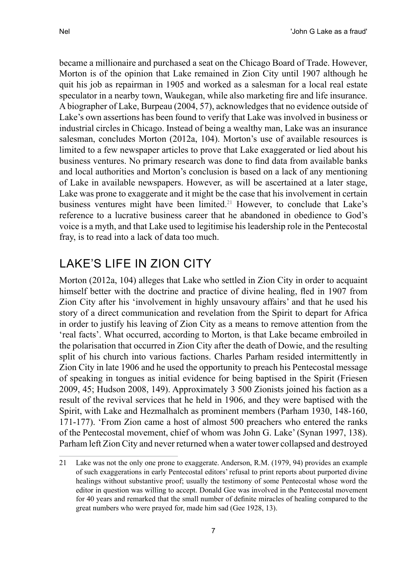became a millionaire and purchased a seat on the Chicago Board of Trade. However, Morton is of the opinion that Lake remained in Zion City until 1907 although he quit his job as repairman in 1905 and worked as a salesman for a local real estate speculator in a nearby town, Waukegan, while also marketing fire and life insurance. A biographer of Lake, Burpeau (2004, 57), acknowledges that no evidence outside of Lake's own assertions has been found to verify that Lake was involved in business or industrial circles in Chicago. Instead of being a wealthy man, Lake was an insurance salesman, concludes Morton (2012a, 104). Morton's use of available resources is limited to a few newspaper articles to prove that Lake exaggerated or lied about his business ventures. No primary research was done to find data from available banks and local authorities and Morton's conclusion is based on a lack of any mentioning of Lake in available newspapers. However, as will be ascertained at a later stage, Lake was prone to exaggerate and it might be the case that his involvement in certain business ventures might have been limited.<sup>21</sup> However, to conclude that Lake's reference to a lucrative business career that he abandoned in obedience to God's voice is a myth, and that Lake used to legitimise his leadership role in the Pentecostal fray, is to read into a lack of data too much.

# Lake's life in Zion City

Morton (2012a, 104) alleges that Lake who settled in Zion City in order to acquaint himself better with the doctrine and practice of divine healing, fled in 1907 from Zion City after his 'involvement in highly unsavoury affairs' and that he used his story of a direct communication and revelation from the Spirit to depart for Africa in order to justify his leaving of Zion City as a means to remove attention from the 'real facts'. What occurred, according to Morton, is that Lake became embroiled in the polarisation that occurred in Zion City after the death of Dowie, and the resulting split of his church into various factions. Charles Parham resided intermittently in Zion City in late 1906 and he used the opportunity to preach his Pentecostal message of speaking in tongues as initial evidence for being baptised in the Spirit (Friesen 2009, 45; Hudson 2008, 149). Approximately 3 500 Zionists joined his faction as a result of the revival services that he held in 1906, and they were baptised with the Spirit, with Lake and Hezmalhalch as prominent members (Parham 1930, 148-160, 171-177). 'From Zion came a host of almost 500 preachers who entered the ranks of the Pentecostal movement, chief of whom was John G. Lake' (Synan 1997, 138). Parham left Zion City and never returned when a water tower collapsed and destroyed

<sup>21</sup> Lake was not the only one prone to exaggerate. Anderson, R.M. (1979, 94) provides an example of such exaggerations in early Pentecostal editors' refusal to print reports about purported divine healings without substantive proof; usually the testimony of some Pentecostal whose word the editor in question was willing to accept. Donald Gee was involved in the Pentecostal movement for 40 years and remarked that the small number of definite miracles of healing compared to the great numbers who were prayed for, made him sad (Gee 1928, 13).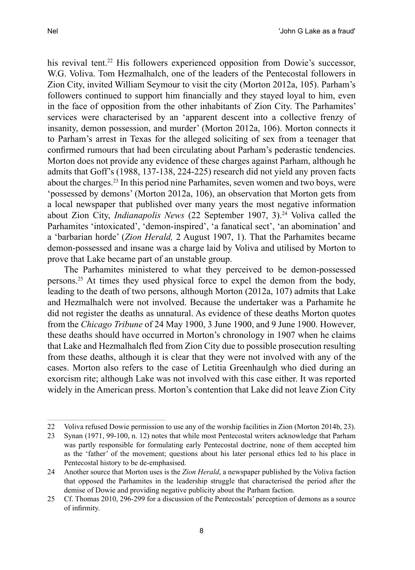his revival tent.<sup>22</sup> His followers experienced opposition from Dowie's successor, W.G. Voliva. Tom Hezmalhalch, one of the leaders of the Pentecostal followers in Zion City, invited William Seymour to visit the city (Morton 2012a, 105). Parham's followers continued to support him financially and they stayed loyal to him, even in the face of opposition from the other inhabitants of Zion City. The Parhamites' services were characterised by an 'apparent descent into a collective frenzy of insanity, demon possession, and murder' (Morton 2012a, 106). Morton connects it to Parham's arrest in Texas for the alleged soliciting of sex from a teenager that confirmed rumours that had been circulating about Parham's pederastic tendencies. Morton does not provide any evidence of these charges against Parham, although he admits that Goff's (1988, 137-138, 224-225) research did not yield any proven facts about the charges.23 In this period nine Parhamites, seven women and two boys, were 'possessed by demons' (Morton 2012a, 106), an observation that Morton gets from a local newspaper that published over many years the most negative information about Zion City, *Indianapolis News* (22 September 1907, 3).<sup>24</sup> Voliva called the Parhamites 'intoxicated', 'demon-inspired', 'a fanatical sect', 'an abomination' and a 'barbarian horde' (*Zion Herald,* 2 August 1907, 1). That the Parhamites became demon-possessed and insane was a charge laid by Voliva and utilised by Morton to prove that Lake became part of an unstable group.

The Parhamites ministered to what they perceived to be demon-possessed persons.25 At times they used physical force to expel the demon from the body, leading to the death of two persons, although Morton (2012a, 107) admits that Lake and Hezmalhalch were not involved. Because the undertaker was a Parhamite he did not register the deaths as unnatural. As evidence of these deaths Morton quotes from the *Chicago Tribune* of 24 May 1900, 3 June 1900, and 9 June 1900. However, these deaths should have occurred in Morton's chronology in 1907 when he claims that Lake and Hezmalhalch fled from Zion City due to possible prosecution resulting from these deaths, although it is clear that they were not involved with any of the cases. Morton also refers to the case of Letitia Greenhaulgh who died during an exorcism rite; although Lake was not involved with this case either. It was reported widely in the American press. Morton's contention that Lake did not leave Zion City

<sup>22</sup> Voliva refused Dowie permission to use any of the worship facilities in Zion (Morton 2014b, 23).

<sup>23</sup> Synan (1971, 99-100, n. 12) notes that while most Pentecostal writers acknowledge that Parham was partly responsible for formulating early Pentecostal doctrine, none of them accepted him as the 'father' of the movement; questions about his later personal ethics led to his place in Pentecostal history to be de-emphasised.

<sup>24</sup> Another source that Morton uses is the *Zion Herald*, a newspaper published by the Voliva faction that opposed the Parhamites in the leadership struggle that characterised the period after the demise of Dowie and providing negative publicity about the Parham faction.

<sup>25</sup> Cf. Thomas 2010, 296-299 for a discussion of the Pentecostals' perception of demons as a source of infirmity.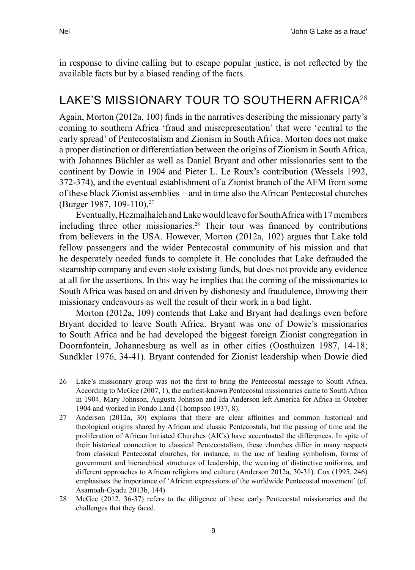in response to divine calling but to escape popular justice, is not reflected by the available facts but by a biased reading of the facts.

### LAKE'S MISSIONARY TOUR TO SOUTHERN AFRICA<sup>26</sup>

Again, Morton (2012a, 100) finds in the narratives describing the missionary party's coming to southern Africa 'fraud and misrepresentation' that were 'central to the early spread' of Pentecostalism and Zionism in South Africa. Morton does not make a proper distinction or differentiation between the origins of Zionism in South Africa, with Johannes Büchler as well as Daniel Bryant and other missionaries sent to the continent by Dowie in 1904 and Pieter L. Le Roux's contribution (Wessels 1992, 372-374), and the eventual establishment of a Zionist branch of the AFM from some of these black Zionist assemblies − and in time also the African Pentecostal churches (Burger 1987, 109-110).27

Eventually, Hezmalhalch and Lake would leave for South Africa with 17 members including three other missionaries.28 Their tour was financed by contributions from believers in the USA. However, Morton (2012a, 102) argues that Lake told fellow passengers and the wider Pentecostal community of his mission and that he desperately needed funds to complete it. He concludes that Lake defrauded the steamship company and even stole existing funds, but does not provide any evidence at all for the assertions. In this way he implies that the coming of the missionaries to South Africa was based on and driven by dishonesty and fraudulence, throwing their missionary endeavours as well the result of their work in a bad light.

Morton (2012a, 109) contends that Lake and Bryant had dealings even before Bryant decided to leave South Africa. Bryant was one of Dowie's missionaries to South Africa and he had developed the biggest foreign Zionist congregation in Doornfontein, Johannesburg as well as in other cities (Oosthuizen 1987, 14-18; Sundkler 1976, 34-41). Bryant contended for Zionist leadership when Dowie died

<sup>26</sup> Lake's missionary group was not the first to bring the Pentecostal message to South Africa. According to McGee (2007, 1), the earliest-known Pentecostal missionaries came to South Africa in 1904. Mary Johnson, Augusta Johnson and Ida Anderson left America for Africa in October 1904 and worked in Pondo Land (Thompson 1937, 8).

<sup>27</sup> Anderson (2012a, 30) explains that there are clear affinities and common historical and theological origins shared by African and classic Pentecostals, but the passing of time and the proliferation of African Initiated Churches (AICs) have accentuated the differences. In spite of their historical connection to classical Pentecostalism, these churches differ in many respects from classical Pentecostal churches, for instance, in the use of healing symbolism, forms of government and hierarchical structures of leadership, the wearing of distinctive uniforms, and different approaches to African religions and culture (Anderson 2012a, 30-31). Cox (1995, 246) emphasises the importance of 'African expressions of the worldwide Pentecostal movement' (cf. Asamoah-Gyadu 2013b, 144)

<sup>28</sup> McGee (2012, 36-37) refers to the diligence of these early Pentecostal missionaries and the challenges that they faced.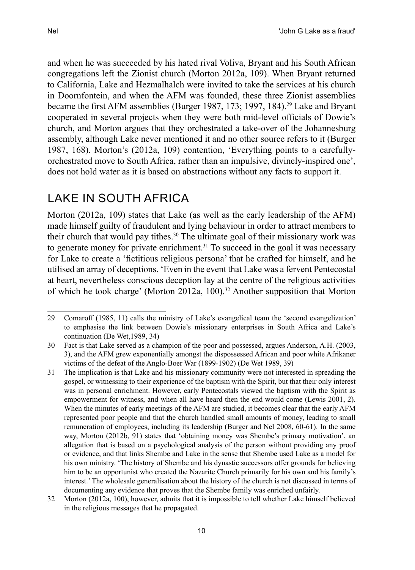and when he was succeeded by his hated rival Voliva, Bryant and his South African congregations left the Zionist church (Morton 2012a, 109). When Bryant returned to California, Lake and Hezmalhalch were invited to take the services at his church in Doornfontein, and when the AFM was founded, these three Zionist assemblies became the first AFM assemblies (Burger 1987, 173; 1997, 184).<sup>29</sup> Lake and Bryant

cooperated in several projects when they were both mid-level officials of Dowie's church, and Morton argues that they orchestrated a take-over of the Johannesburg assembly, although Lake never mentioned it and no other source refers to it (Burger 1987, 168). Morton's (2012a, 109) contention, 'Everything points to a carefullyorchestrated move to South Africa, rather than an impulsive, divinely-inspired one', does not hold water as it is based on abstractions without any facts to support it.

# Lake in South Africa

Morton (2012a, 109) states that Lake (as well as the early leadership of the AFM) made himself guilty of fraudulent and lying behaviour in order to attract members to their church that would pay tithes.<sup>30</sup> The ultimate goal of their missionary work was to generate money for private enrichment. $31$  To succeed in the goal it was necessary for Lake to create a 'fictitious religious persona' that he crafted for himself, and he utilised an array of deceptions. 'Even in the event that Lake was a fervent Pentecostal at heart, nevertheless conscious deception lay at the centre of the religious activities of which he took charge' (Morton 2012a, 100).<sup>32</sup> Another supposition that Morton

<sup>29</sup> Comaroff (1985, 11) calls the ministry of Lake's evangelical team the 'second evangelization' to emphasise the link between Dowie's missionary enterprises in South Africa and Lake's continuation (De Wet,1989, 34)

<sup>30</sup> Fact is that Lake served as a champion of the poor and possessed, argues Anderson, A.H. (2003, 3), and the AFM grew exponentially amongst the dispossessed African and poor white Afrikaner victims of the defeat of the Anglo-Boer War (1899-1902) (De Wet 1989, 39)

<sup>31</sup> The implication is that Lake and his missionary community were not interested in spreading the gospel, or witnessing to their experience of the baptism with the Spirit, but that their only interest was in personal enrichment. However, early Pentecostals viewed the baptism with the Spirit as empowerment for witness, and when all have heard then the end would come (Lewis 2001, 2). When the minutes of early meetings of the AFM are studied, it becomes clear that the early AFM represented poor people and that the church handled small amounts of money, leading to small remuneration of employees, including its leadership (Burger and Nel 2008, 60-61). In the same way, Morton (2012b, 91) states that 'obtaining money was Shembe's primary motivation', an allegation that is based on a psychological analysis of the person without providing any proof or evidence, and that links Shembe and Lake in the sense that Shembe used Lake as a model for his own ministry. 'The history of Shembe and his dynastic successors offer grounds for believing him to be an opportunist who created the Nazarite Church primarily for his own and his family's interest.' The wholesale generalisation about the history of the church is not discussed in terms of documenting any evidence that proves that the Shembe family was enriched unfairly.

<sup>32</sup> Morton (2012a, 100), however, admits that it is impossible to tell whether Lake himself believed in the religious messages that he propagated.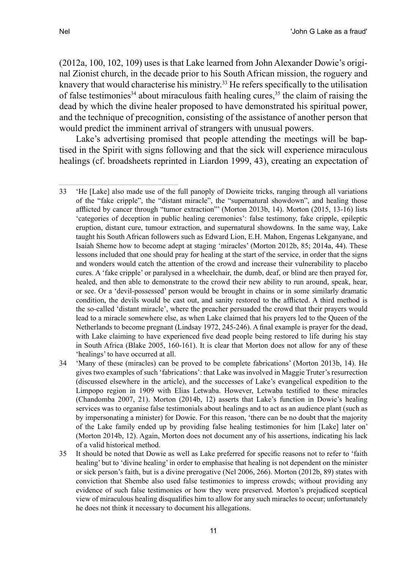(2012a, 100, 102, 109) uses is that Lake learned from John Alexander Dowie's original Zionist church, in the decade prior to his South African mission, the roguery and knavery that would characterise his ministry.<sup>33</sup> He refers specifically to the utilisation of false testimonies<sup>34</sup> about miraculous faith healing cures,  $35$  the claim of raising the dead by which the divine healer proposed to have demonstrated his spiritual power, and the technique of precognition, consisting of the assistance of another person that would predict the imminent arrival of strangers with unusual powers.

Lake's advertising promised that people attending the meetings will be baptised in the Spirit with signs following and that the sick will experience miraculous healings (cf. broadsheets reprinted in Liardon 1999, 43), creating an expectation of

<sup>33</sup> 'He [Lake] also made use of the full panoply of Dowieite tricks, ranging through all variations of the "fake cripple", the "distant miracle", the "supernatural showdown", and healing those afflicted by cancer through "tumor extraction"' (Morton 2013b, 14). Morton (2015, 13-16) lists 'categories of deception in public healing ceremonies': false testimony, fake cripple, epileptic eruption, distant cure, tumour extraction, and supernatural showdowns. In the same way, Lake taught his South African followers such as Edward Lion, E.H. Mahon, Engenas Lekganyane, and Isaiah Sheme how to become adept at staging 'miracles' (Morton 2012b, 85; 2014a, 44). These lessons included that one should pray for healing at the start of the service, in order that the signs and wonders would catch the attention of the crowd and increase their vulnerability to placebo cures. A 'fake cripple' or paralysed in a wheelchair, the dumb, deaf, or blind are then prayed for, healed, and then able to demonstrate to the crowd their new ability to run around, speak, hear, or see. Or a 'devil-possessed' person would be brought in chains or in some similarly dramatic condition, the devils would be cast out, and sanity restored to the afflicted. A third method is the so-called 'distant miracle', where the preacher persuaded the crowd that their prayers would lead to a miracle somewhere else, as when Lake claimed that his prayers led to the Queen of the Netherlands to become pregnant (Lindsay 1972, 245-246). A final example is prayer for the dead, with Lake claiming to have experienced five dead people being restored to life during his stay in South Africa (Blake 2005, 160-161). It is clear that Morton does not allow for any of these 'healings' to have occurred at all.

<sup>34</sup> 'Many of these (miracles) can be proved to be complete fabrications' (Morton 2013b, 14). He gives two examples of such 'fabrications': that Lake was involved in Maggie Truter's resurrection (discussed elsewhere in the article), and the successes of Lake's evangelical expedition to the Limpopo region in 1909 with Elias Letwaba. However, Letwaba testified to these miracles (Chandomba 2007, 21). Morton (2014b, 12) asserts that Lake's function in Dowie's healing services was to organise false testimonials about healings and to act as an audience plant (such as by impersonating a minister) for Dowie. For this reason, 'there can be no doubt that the majority of the Lake family ended up by providing false healing testimonies for him [Lake] later on' (Morton 2014b, 12). Again, Morton does not document any of his assertions, indicating his lack of a valid historical method.

<sup>35</sup> It should be noted that Dowie as well as Lake preferred for specific reasons not to refer to 'faith healing' but to 'divine healing' in order to emphasise that healing is not dependent on the minister or sick person's faith, but is a divine prerogative (Nel 2006, 266). Morton (2012b, 89) states with conviction that Shembe also used false testimonies to impress crowds; without providing any evidence of such false testimonies or how they were preserved. Morton's prejudiced sceptical view of miraculous healing disqualifies him to allow for any such miracles to occur; unfortunately he does not think it necessary to document his allegations.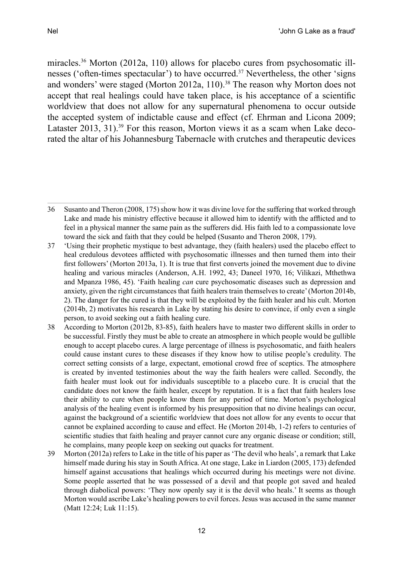miracles.36 Morton (2012a, 110) allows for placebo cures from psychosomatic illnesses ('often-times spectacular') to have occurred.<sup>37</sup> Nevertheless, the other 'signs and wonders' were staged (Morton 2012a, 110).<sup>38</sup> The reason why Morton does not accept that real healings could have taken place, is his acceptance of a scientific worldview that does not allow for any supernatural phenomena to occur outside the accepted system of indictable cause and effect (cf. Ehrman and Licona 2009; Lataster 2013, 31).<sup>39</sup> For this reason, Morton views it as a scam when Lake decorated the altar of his Johannesburg Tabernacle with crutches and therapeutic devices

<sup>36</sup> Susanto and Theron (2008, 175) show how it was divine love for the suffering that worked through Lake and made his ministry effective because it allowed him to identify with the afflicted and to feel in a physical manner the same pain as the sufferers did. His faith led to a compassionate love toward the sick and faith that they could be helped (Susanto and Theron 2008, 179).

<sup>37</sup> 'Using their prophetic mystique to best advantage, they (faith healers) used the placebo effect to heal credulous devotees afflicted with psychosomatic illnesses and then turned them into their first followers' (Morton 2013a, 1). It is true that first converts joined the movement due to divine healing and various miracles (Anderson, A.H. 1992, 43; Daneel 1970, 16; Vilikazi, Mthethwa and Mpanza 1986, 45). 'Faith healing *can* cure psychosomatic diseases such as depression and anxiety, given the right circumstances that faith healers train themselves to create' (Morton 2014b, 2). The danger for the cured is that they will be exploited by the faith healer and his cult. Morton (2014b, 2) motivates his research in Lake by stating his desire to convince, if only even a single person, to avoid seeking out a faith healing cure.

<sup>38</sup> According to Morton (2012b, 83-85), faith healers have to master two different skills in order to be successful. Firstly they must be able to create an atmosphere in which people would be gullible enough to accept placebo cures. A large percentage of illness is psychosomatic, and faith healers could cause instant cures to these diseases if they know how to utilise people's credulity. The correct setting consists of a large, expectant, emotional crowd free of sceptics. The atmosphere is created by invented testimonies about the way the faith healers were called. Secondly, the faith healer must look out for individuals susceptible to a placebo cure. It is crucial that the candidate does not know the faith healer, except by reputation. It is a fact that faith healers lose their ability to cure when people know them for any period of time. Morton's psychological analysis of the healing event is informed by his presupposition that no divine healings can occur, against the background of a scientific worldview that does not allow for any events to occur that cannot be explained according to cause and effect. He (Morton 2014b, 1-2) refers to centuries of scientific studies that faith healing and prayer cannot cure any organic disease or condition; still, he complains, many people keep on seeking out quacks for treatment.

<sup>39</sup> Morton (2012a) refers to Lake in the title of his paper as 'The devil who heals', a remark that Lake himself made during his stay in South Africa. At one stage, Lake in Liardon (2005, 173) defended himself against accusations that healings which occurred during his meetings were not divine. Some people asserted that he was possessed of a devil and that people got saved and healed through diabolical powers: 'They now openly say it is the devil who heals.' It seems as though Morton would ascribe Lake's healing powers to evil forces. Jesus was accused in the same manner (Matt 12:24; Luk 11:15).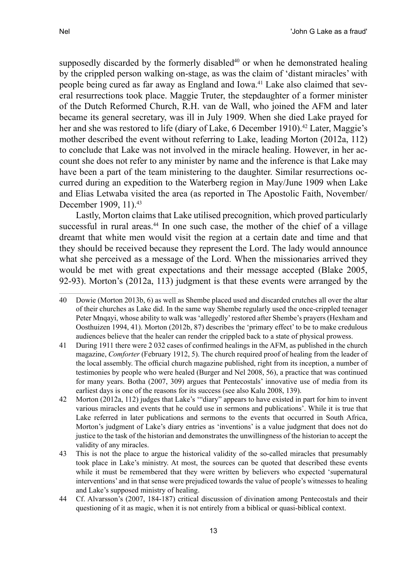supposedly discarded by the formerly disabled $40$  or when he demonstrated healing by the crippled person walking on-stage, as was the claim of 'distant miracles' with people being cured as far away as England and Iowa.41 Lake also claimed that several resurrections took place. Maggie Truter, the stepdaughter of a former minister of the Dutch Reformed Church, R.H. van de Wall, who joined the AFM and later became its general secretary, was ill in July 1909. When she died Lake prayed for her and she was restored to life (diary of Lake, 6 December 1910).<sup>42</sup> Later, Maggie's mother described the event without referring to Lake, leading Morton (2012a, 112) to conclude that Lake was not involved in the miracle healing. However, in her account she does not refer to any minister by name and the inference is that Lake may have been a part of the team ministering to the daughter. Similar resurrections occurred during an expedition to the Waterberg region in May/June 1909 when Lake and Elias Letwaba visited the area (as reported in The Apostolic Faith, November/ December 1909, 11).<sup>43</sup>

Lastly, Morton claims that Lake utilised precognition, which proved particularly successful in rural areas.44 In one such case, the mother of the chief of a village dreamt that white men would visit the region at a certain date and time and that they should be received because they represent the Lord. The lady would announce what she perceived as a message of the Lord. When the missionaries arrived they would be met with great expectations and their message accepted (Blake 2005, 92-93). Morton's (2012a, 113) judgment is that these events were arranged by the

<sup>40</sup> Dowie (Morton 2013b, 6) as well as Shembe placed used and discarded crutches all over the altar of their churches as Lake did. In the same way Shembe regularly used the once-crippled teenager Peter Mnqayi, whose ability to walk was 'allegedly' restored after Shembe's prayers (Hexham and Oosthuizen 1994, 41). Morton (2012b, 87) describes the 'primary effect' to be to make credulous audiences believe that the healer can render the crippled back to a state of physical prowess.

<sup>41</sup> During 1911 there were 2 032 cases of confirmed healings in the AFM, as published in the church magazine, *Comforter* (February 1912, 5). The church required proof of healing from the leader of the local assembly. The official church magazine published, right from its inception, a number of testimonies by people who were healed (Burger and Nel 2008, 56), a practice that was continued for many years. Botha (2007, 309) argues that Pentecostals' innovative use of media from its earliest days is one of the reasons for its success (see also Kalu 2008, 139).

<sup>42</sup> Morton (2012a, 112) judges that Lake's '"diary" appears to have existed in part for him to invent various miracles and events that he could use in sermons and publications'. While it is true that Lake referred in later publications and sermons to the events that occurred in South Africa, Morton's judgment of Lake's diary entries as 'inventions' is a value judgment that does not do justice to the task of the historian and demonstrates the unwillingness of the historian to accept the validity of any miracles.

<sup>43</sup> This is not the place to argue the historical validity of the so-called miracles that presumably took place in Lake's ministry. At most, the sources can be quoted that described these events while it must be remembered that they were written by believers who expected 'supernatural interventions' and in that sense were prejudiced towards the value of people's witnesses to healing and Lake's supposed ministry of healing.

<sup>44</sup> Cf. Alvarsson's (2007, 184-187) critical discussion of divination among Pentecostals and their questioning of it as magic, when it is not entirely from a biblical or quasi-biblical context.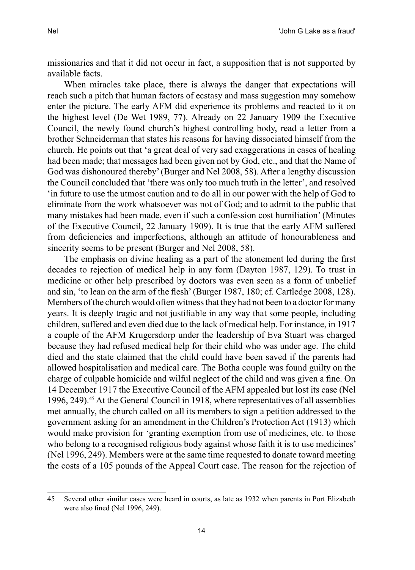missionaries and that it did not occur in fact, a supposition that is not supported by available facts.

When miracles take place, there is always the danger that expectations will reach such a pitch that human factors of ecstasy and mass suggestion may somehow enter the picture. The early AFM did experience its problems and reacted to it on the highest level (De Wet 1989, 77). Already on 22 January 1909 the Executive Council, the newly found church's highest controlling body, read a letter from a brother Schneiderman that states his reasons for having dissociated himself from the church. He points out that 'a great deal of very sad exaggerations in cases of healing had been made; that messages had been given not by God, etc., and that the Name of God was dishonoured thereby' (Burger and Nel 2008, 58). After a lengthy discussion the Council concluded that 'there was only too much truth in the letter', and resolved 'in future to use the utmost caution and to do all in our power with the help of God to eliminate from the work whatsoever was not of God; and to admit to the public that many mistakes had been made, even if such a confession cost humiliation' (Minutes of the Executive Council, 22 January 1909). It is true that the early AFM suffered from deficiencies and imperfections, although an attitude of honourableness and sincerity seems to be present (Burger and Nel 2008, 58).

The emphasis on divine healing as a part of the atonement led during the first decades to rejection of medical help in any form (Dayton 1987, 129). To trust in medicine or other help prescribed by doctors was even seen as a form of unbelief and sin, 'to lean on the arm of the flesh' (Burger 1987, 180; cf. Cartledge 2008, 128). Members of the church would often witness that they had not been to a doctor for many years. It is deeply tragic and not justifiable in any way that some people, including children, suffered and even died due to the lack of medical help. For instance, in 1917 a couple of the AFM Krugersdorp under the leadership of Eva Stuart was charged because they had refused medical help for their child who was under age. The child died and the state claimed that the child could have been saved if the parents had allowed hospitalisation and medical care. The Botha couple was found guilty on the charge of culpable homicide and wilful neglect of the child and was given a fine. On 14 December 1917 the Executive Council of the AFM appealed but lost its case (Nel 1996, 249).<sup>45</sup> At the General Council in 1918, where representatives of all assemblies met annually, the church called on all its members to sign a petition addressed to the government asking for an amendment in the Children's Protection Act (1913) which would make provision for 'granting exemption from use of medicines, etc. to those who belong to a recognised religious body against whose faith it is to use medicines' (Nel 1996, 249). Members were at the same time requested to donate toward meeting the costs of a 105 pounds of the Appeal Court case. The reason for the rejection of

<sup>45</sup> Several other similar cases were heard in courts, as late as 1932 when parents in Port Elizabeth were also fined (Nel 1996, 249).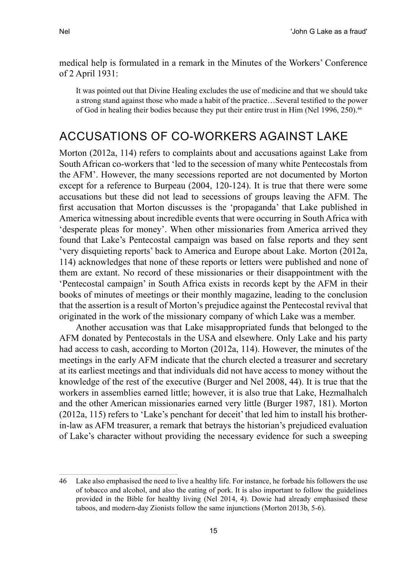medical help is formulated in a remark in the Minutes of the Workers' Conference of 2 April 1931:

It was pointed out that Divine Healing excludes the use of medicine and that we should take a strong stand against those who made a habit of the practice…Several testified to the power of God in healing their bodies because they put their entire trust in Him (Nel 1996, 250).<sup>46</sup>

# Accusations of co-workers against Lake

Morton (2012a, 114) refers to complaints about and accusations against Lake from South African co-workers that 'led to the secession of many white Pentecostals from the AFM'. However, the many secessions reported are not documented by Morton except for a reference to Burpeau (2004, 120-124). It is true that there were some accusations but these did not lead to secessions of groups leaving the AFM. The first accusation that Morton discusses is the 'propaganda' that Lake published in America witnessing about incredible events that were occurring in South Africa with 'desperate pleas for money'. When other missionaries from America arrived they found that Lake's Pentecostal campaign was based on false reports and they sent 'very disquieting reports' back to America and Europe about Lake. Morton (2012a, 114) acknowledges that none of these reports or letters were published and none of them are extant. No record of these missionaries or their disappointment with the 'Pentecostal campaign' in South Africa exists in records kept by the AFM in their books of minutes of meetings or their monthly magazine, leading to the conclusion that the assertion is a result of Morton's prejudice against the Pentecostal revival that originated in the work of the missionary company of which Lake was a member.

Another accusation was that Lake misappropriated funds that belonged to the AFM donated by Pentecostals in the USA and elsewhere. Only Lake and his party had access to cash, according to Morton (2012a, 114). However, the minutes of the meetings in the early AFM indicate that the church elected a treasurer and secretary at its earliest meetings and that individuals did not have access to money without the knowledge of the rest of the executive (Burger and Nel 2008, 44). It is true that the workers in assemblies earned little; however, it is also true that Lake, Hezmalhalch and the other American missionaries earned very little (Burger 1987, 181). Morton (2012a, 115) refers to 'Lake's penchant for deceit' that led him to install his brotherin-law as AFM treasurer, a remark that betrays the historian's prejudiced evaluation of Lake's character without providing the necessary evidence for such a sweeping

<sup>46</sup> Lake also emphasised the need to live a healthy life. For instance, he forbade his followers the use of tobacco and alcohol, and also the eating of pork. It is also important to follow the guidelines provided in the Bible for healthy living (Nel 2014, 4). Dowie had already emphasised these taboos, and modern-day Zionists follow the same injunctions (Morton 2013b, 5-6).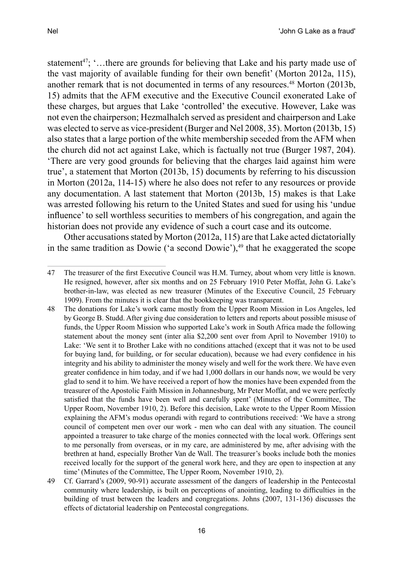statement<sup>47</sup>; '...there are grounds for believing that Lake and his party made use of the vast majority of available funding for their own benefit' (Morton 2012a, 115), another remark that is not documented in terms of any resources.<sup>48</sup> Morton (2013b, 15) admits that the AFM executive and the Executive Council exonerated Lake of these charges, but argues that Lake 'controlled' the executive. However, Lake was not even the chairperson; Hezmalhalch served as president and chairperson and Lake was elected to serve as vice-president (Burger and Nel 2008, 35). Morton (2013b, 15) also states that a large portion of the white membership seceded from the AFM when the church did not act against Lake, which is factually not true (Burger 1987, 204). 'There are very good grounds for believing that the charges laid against him were true', a statement that Morton (2013b, 15) documents by referring to his discussion

in Morton (2012a, 114-15) where he also does not refer to any resources or provide any documentation. A last statement that Morton (2013b, 15) makes is that Lake was arrested following his return to the United States and sued for using his 'undue influence' to sell worthless securities to members of his congregation, and again the historian does not provide any evidence of such a court case and its outcome.

Other accusations stated by Morton (2012a, 115) are that Lake acted dictatorially in the same tradition as Dowie ('a second Dowie'), $49$  that he exaggerated the scope

49 Cf. Garrard's (2009, 90-91) accurate assessment of the dangers of leadership in the Pentecostal community where leadership, is built on perceptions of anointing, leading to difficulties in the building of trust between the leaders and congregations. Johns (2007, 131-136) discusses the effects of dictatorial leadership on Pentecostal congregations.

<sup>47</sup> The treasurer of the first Executive Council was H.M. Turney, about whom very little is known. He resigned, however, after six months and on 25 February 1910 Peter Moffat, John G. Lake's brother-in-law, was elected as new treasurer (Minutes of the Executive Council, 25 February 1909). From the minutes it is clear that the bookkeeping was transparent.

<sup>48</sup> The donations for Lake's work came mostly from the Upper Room Mission in Los Angeles, led by George B. Studd. After giving due consideration to letters and reports about possible misuse of funds, the Upper Room Mission who supported Lake's work in South Africa made the following statement about the money sent (inter alia \$2,200 sent over from April to November 1910) to Lake: 'We sent it to Brother Lake with no conditions attached (except that it was not to be used for buying land, for building, or for secular education), because we had every confidence in his integrity and his ability to administer the money wisely and well for the work there. We have even greater confidence in him today, and if we had 1,000 dollars in our hands now, we would be very glad to send it to him. We have received a report of how the monies have been expended from the treasurer of the Apostolic Faith Mission in Johannesburg, Mr Peter Moffat, and we were perfectly satisfied that the funds have been well and carefully spent' (Minutes of the Committee, The Upper Room, November 1910, 2). Before this decision, Lake wrote to the Upper Room Mission explaining the AFM's modus operandi with regard to contributions received: 'We have a strong council of competent men over our work - men who can deal with any situation. The council appointed a treasurer to take charge of the monies connected with the local work. Offerings sent to me personally from overseas, or in my care, are administered by me, after advising with the brethren at hand, especially Brother Van de Wall. The treasurer's books include both the monies received locally for the support of the general work here, and they are open to inspection at any time' (Minutes of the Committee, The Upper Room, November 1910, 2).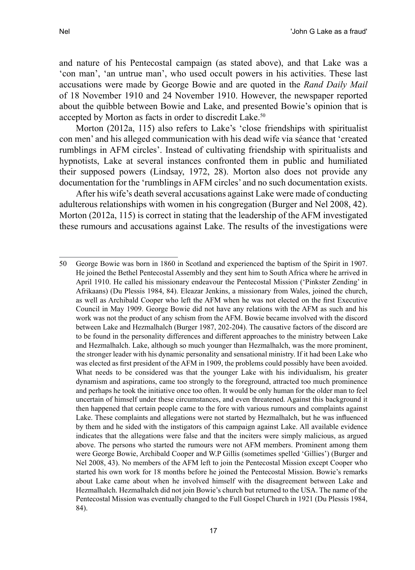and nature of his Pentecostal campaign (as stated above), and that Lake was a 'con man', 'an untrue man', who used occult powers in his activities. These last accusations were made by George Bowie and are quoted in the *Rand Daily Mail*  of 18 November 1910 and 24 November 1910. However, the newspaper reported about the quibble between Bowie and Lake, and presented Bowie's opinion that is accepted by Morton as facts in order to discredit Lake.<sup>50</sup>

Morton (2012a, 115) also refers to Lake's 'close friendships with spiritualist con men' and his alleged communication with his dead wife via séance that 'created rumblings in AFM circles'. Instead of cultivating friendship with spiritualists and hypnotists, Lake at several instances confronted them in public and humiliated their supposed powers (Lindsay, 1972, 28). Morton also does not provide any documentation for the 'rumblings in AFM circles' and no such documentation exists.

After his wife's death several accusations against Lake were made of conducting adulterous relationships with women in his congregation (Burger and Nel 2008, 42). Morton (2012a, 115) is correct in stating that the leadership of the AFM investigated these rumours and accusations against Lake. The results of the investigations were

<sup>50</sup> George Bowie was born in 1860 in Scotland and experienced the baptism of the Spirit in 1907. He joined the Bethel Pentecostal Assembly and they sent him to South Africa where he arrived in April 1910. He called his missionary endeavour the Pentecostal Mission ('Pinkster Zending' in Afrikaans) (Du Plessis 1984, 84). Eleazar Jenkins, a missionary from Wales, joined the church, as well as Archibald Cooper who left the AFM when he was not elected on the first Executive Council in May 1909. George Bowie did not have any relations with the AFM as such and his work was not the product of any schism from the AFM. Bowie became involved with the discord between Lake and Hezmalhalch (Burger 1987, 202-204). The causative factors of the discord are to be found in the personality differences and different approaches to the ministry between Lake and Hezmalhalch. Lake, although so much younger than Hezmalhalch, was the more prominent, the stronger leader with his dynamic personality and sensational ministry. If it had been Lake who was elected as first president of the AFM in 1909, the problems could possibly have been avoided. What needs to be considered was that the younger Lake with his individualism, his greater dynamism and aspirations, came too strongly to the foreground, attracted too much prominence and perhaps he took the initiative once too often. It would be only human for the older man to feel uncertain of himself under these circumstances, and even threatened. Against this background it then happened that certain people came to the fore with various rumours and complaints against Lake. These complaints and allegations were not started by Hezmalhalch, but he was influenced by them and he sided with the instigators of this campaign against Lake. All available evidence indicates that the allegations were false and that the inciters were simply malicious, as argued above. The persons who started the rumours were not AFM members. Prominent among them were George Bowie, Archibald Cooper and W.P Gillis (sometimes spelled 'Gillies') (Burger and Nel 2008, 43). No members of the AFM left to join the Pentecostal Mission except Cooper who started his own work for 18 months before he joined the Pentecostal Mission. Bowie's remarks about Lake came about when he involved himself with the disagreement between Lake and Hezmalhalch. Hezmalhalch did not join Bowie's church but returned to the USA. The name of the Pentecostal Mission was eventually changed to the Full Gospel Church in 1921 (Du Plessis 1984, 84).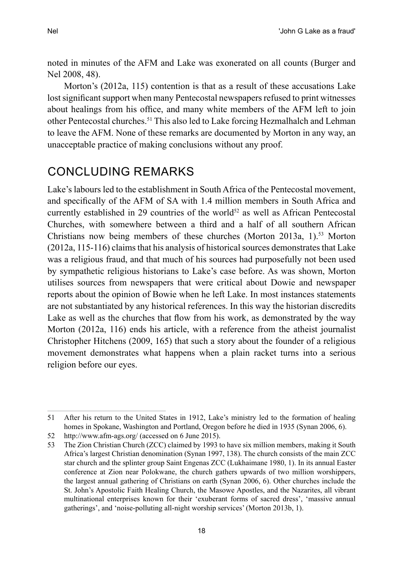noted in minutes of the AFM and Lake was exonerated on all counts (Burger and Nel 2008, 48).

Morton's (2012a, 115) contention is that as a result of these accusations Lake lost significant support when many Pentecostal newspapers refused to print witnesses about healings from his office, and many white members of the AFM left to join other Pentecostal churches.51 This also led to Lake forcing Hezmalhalch and Lehman to leave the AFM. None of these remarks are documented by Morton in any way, an unacceptable practice of making conclusions without any proof.

# Concluding remarks

Lake's labours led to the establishment in South Africa of the Pentecostal movement, and specifically of the AFM of SA with 1.4 million members in South Africa and currently established in 29 countries of the world<sup>52</sup> as well as African Pentecostal Churches, with somewhere between a third and a half of all southern African Christians now being members of these churches (Morton 2013a, 1).<sup>53</sup> Morton (2012a, 115-116) claims that his analysis of historical sources demonstrates that Lake was a religious fraud, and that much of his sources had purposefully not been used by sympathetic religious historians to Lake's case before. As was shown, Morton utilises sources from newspapers that were critical about Dowie and newspaper reports about the opinion of Bowie when he left Lake. In most instances statements are not substantiated by any historical references. In this way the historian discredits Lake as well as the churches that flow from his work, as demonstrated by the way Morton (2012a, 116) ends his article, with a reference from the atheist journalist Christopher Hitchens (2009, 165) that such a story about the founder of a religious movement demonstrates what happens when a plain racket turns into a serious religion before our eyes.

<sup>51</sup> After his return to the United States in 1912, Lake's ministry led to the formation of healing homes in Spokane, Washington and Portland, Oregon before he died in 1935 (Synan 2006, 6).

<sup>52</sup> http://www.afm-ags.org/ (accessed on 6 June 2015).

<sup>53</sup> The Zion Christian Church (ZCC) claimed by 1993 to have six million members, making it South Africa's largest Christian denomination (Synan 1997, 138). The church consists of the main ZCC star church and the splinter group Saint Engenas ZCC (Lukhaimane 1980, 1). In its annual Easter conference at Zion near Polokwane, the church gathers upwards of two million worshippers, the largest annual gathering of Christians on earth (Synan 2006, 6). Other churches include the St. John's Apostolic Faith Healing Church, the Masowe Apostles, and the Nazarites, all vibrant multinational enterprises known for their 'exuberant forms of sacred dress', 'massive annual gatherings', and 'noise-polluting all-night worship services' (Morton 2013b, 1).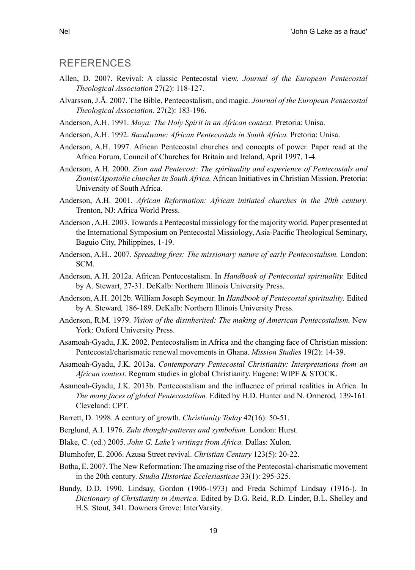#### **RFFFRENCES**

- Allen, D. 2007. Revival: A classic Pentecostal view. *Journal of the European Pentecostal Theological Association* 27(2): 118-127.
- Alvarsson, J.Å. 2007. The Bible, Pentecostalism, and magic. *Journal of the European Pentecostal Theological Association.* 27(2): 183-196.
- Anderson, A.H. 1991. *Moya: The Holy Spirit in an African context.* Pretoria: Unisa.
- Anderson, A.H. 1992. *Bazalwane: African Pentecostals in South Africa.* Pretoria: Unisa.
- Anderson, A.H. 1997. African Pentecostal churches and concepts of power. Paper read at the Africa Forum, Council of Churches for Britain and Ireland, April 1997, 1-4.
- Anderson, A.H. 2000. *Zion and Pentecost: The spirituality and experience of Pentecostals and Zionist/Apostolic churches in South Africa.* African Initiatives in Christian Mission. Pretoria: University of South Africa.
- Anderson, A.H. 2001. *African Reformation: African initiated churches in the 20th century.* Trenton, NJ: Africa World Press.
- Anderson , A.H. 2003. Towards a Pentecostal missiology for the majority world. Paper presented at the International Symposium on Pentecostal Missiology, Asia-Pacific Theological Seminary, Baguio City, Philippines, 1-19.
- Anderson, A.H.. 2007. *Spreading fires: The missionary nature of early Pentecostalism.* London: SCM.
- Anderson, A.H. 2012a. African Pentecostalism. In *Handbook of Pentecostal spirituality.* Edited by A. Stewart, 27-31. DeKalb: Northern Illinois University Press.
- Anderson, A.H. 2012b. William Joseph Seymour. In *Handbook of Pentecostal spirituality.* Edited by A. Steward*,* 186-189. DeKalb: Northern Illinois University Press.
- Anderson, R.M. 1979. *Vision of the disinherited: The making of American Pentecostalism.* New York: Oxford University Press.
- Asamoah-Gyadu, J.K. 2002. Pentecostalism in Africa and the changing face of Christian mission: Pentecostal/charismatic renewal movements in Ghana. *Mission Studies* 19(2): 14-39.
- Asamoah-Gyadu, J.K. 2013a. *Contemporary Pentecostal Christianity: Interpretations from an African context.* Regnum studies in global Christianity. Eugene: WIPF & STOCK.
- Asamoah-Gyadu, J.K. 2013b. Pentecostalism and the influence of primal realities in Africa. In *The many faces of global Pentecostalism.* Edited by H.D. Hunter and N. Ormerod*,* 139-161*.* Cleveland: CPT.
- Barrett, D. 1998. A century of growth. *Christianity Today* 42(16): 50-51.
- Berglund, A.I. 1976. *Zulu thought-patterns and symbolism.* London: Hurst.
- Blake, C. (ed.) 2005. *John G. Lake's writings from Africa.* Dallas: Xulon.
- Blumhofer, E. 2006. Azusa Street revival. *Christian Century* 123(5): 20-22.
- Botha, E. 2007. The New Reformation: The amazing rise of the Pentecostal-charismatic movement in the 20th century. *Studia Historiae Ecclesiasticae* 33(1): 295-325.
- Bundy, D.D. 1990. Lindsay, Gordon (1906-1973) and Freda Schimpf Lindsay (1916-). In *Dictionary of Christianity in America.* Edited by D.G. Reid, R.D. Linder, B.L. Shelley and H.S. Stout*,* 341. Downers Grove: InterVarsity.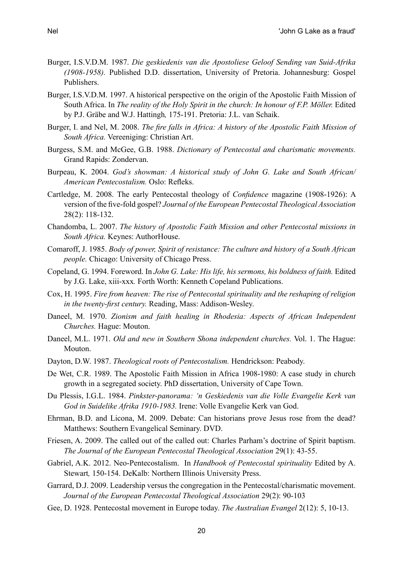- Burger, I.S.V.D.M. 1987. *Die geskiedenis van die Apostoliese Geloof Sending van Suid-Afrika (1908-1958).* Published D.D. dissertation, University of Pretoria. Johannesburg: Gospel Publishers.
- Burger, I.S.V.D.M. 1997. A historical perspective on the origin of the Apostolic Faith Mission of South Africa. In *The reality of the Holy Spirit in the church: In honour of F.P. Möller.* Edited by P.J. Gräbe and W.J. Hattingh*,* 175-191. Pretoria: J.L. van Schaik.
- Burger, I. and Nel, M. 2008. *The fire falls in Africa: A history of the Apostolic Faith Mission of South Africa.* Vereeniging: Christian Art.
- Burgess, S.M. and McGee, G.B. 1988. *Dictionary of Pentecostal and charismatic movements.* Grand Rapids: Zondervan.
- Burpeau, K. 2004. *God's showman: A historical study of John G. Lake and South African/ American Pentecostalism.* Oslo: Refleks.
- Cartledge, M. 2008. The early Pentecostal theology of *Confidence* magazine (1908-1926): A version of the five-fold gospel? *Journal of the European Pentecostal Theological Association* 28(2): 118-132.
- Chandomba, L. 2007. *The history of Apostolic Faith Mission and other Pentecostal missions in South Africa.* Keynes: AuthorHouse.
- Comaroff, J. 1985. *Body of power, Spirit of resistance: The culture and history of a South African people.* Chicago: University of Chicago Press.
- Copeland, G. 1994. Foreword. In *John G. Lake: His life, his sermons, his boldness of faith.* Edited by J.G. Lake, xiii-xxx*.* Forth Worth: Kenneth Copeland Publications.
- Cox, H. 1995. *Fire from heaven: The rise of Pentecostal spirituality and the reshaping of religion in the twenty-first century.* Reading, Mass: Addison-Wesley.
- Daneel, M. 1970. *Zionism and faith healing in Rhodesia: Aspects of African Independent Churches.* Hague: Mouton.
- Daneel, M.L. 1971. *Old and new in Southern Shona independent churches.* Vol. 1. The Hague: Mouton.
- Dayton, D.W. 1987. *Theological roots of Pentecostalism.* Hendrickson: Peabody.
- De Wet, C.R. 1989. The Apostolic Faith Mission in Africa 1908-1980: A case study in church growth in a segregated society. PhD dissertation, University of Cape Town.
- Du Plessis, I.G.L. 1984. *Pinkster-panorama: 'n Geskiedenis van die Volle Evangelie Kerk van God in Suidelike Afrika 1910-1983.* Irene: Volle Evangelie Kerk van God.
- Ehrman, B.D. and Licona, M. 2009. Debate: Can historians prove Jesus rose from the dead? Matthews: Southern Evangelical Seminary. DVD.
- Friesen, A. 2009. The called out of the called out: Charles Parham's doctrine of Spirit baptism. *The Journal of the European Pentecostal Theological Association* 29(1): 43-55.
- Gabriel, A.K. 2012. Neo-Pentecostalism. In *Handbook of Pentecostal spirituality* Edited by A. Stewart*,* 150-154. DeKalb: Northern Illinois University Press.
- Garrard, D.J. 2009. Leadership versus the congregation in the Pentecostal/charismatic movement. *Journal of the European Pentecostal Theological Association* 29(2): 90-103
- Gee, D. 1928. Pentecostal movement in Europe today. *The Australian Evangel* 2(12): 5, 10-13.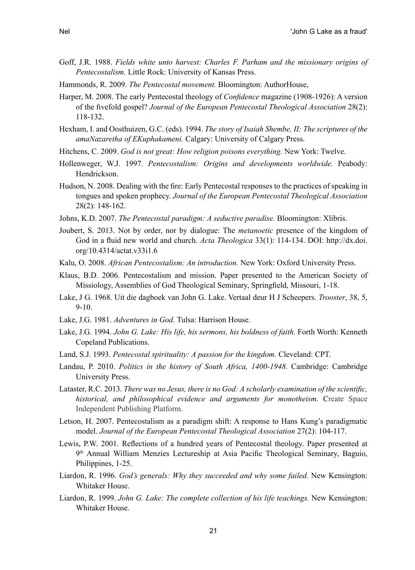- Goff, J.R. 1988. *Fields white unto harvest: Charles F. Parham and the missionary origins of Pentecostalism.* Little Rock: University of Kansas Press.
- Hammonds, R. 2009. *The Pentecostal movement.* Bloomington: AuthorHouse,
- Harper, M. 2008. The early Pentecostal theology of *Confidence* magazine (1908-1926): A version of the fivefold gospel? *Journal of the European Pentecostal Theological Association* 28(2): 118-132.
- Hexham, I. and Oosthuizen, G.C. (eds). 1994. *The story of Isaiah Shembe, II: The scriptures of the amaNazaretha of EKuphakameni.* Calgary: University of Calgary Press.
- Hitchens, C. 2009. *God is not great: How religion poisons everything.* New York: Twelve.
- Hollenweger, W.J. 1997. *Pentecostalism: Origins and developments worldwide.* Peabody: Hendrickson.
- Hudson, N. 2008. Dealing with the fire: Early Pentecostal responses to the practices of speaking in tongues and spoken prophecy. *Journal of the European Pentecostal Theological Association* 28(2): 148-162.
- Johns, K.D. 2007. *The Pentecostal paradigm: A seductive paradise.* Bloomington: Xlibris.
- Joubert, S. 2013. Not by order, nor by dialogue: The *metanoetic* presence of the kingdom of God in a fluid new world and church. *Acta Theologica* 33(1): 114-134. DOI: http://dx.doi. org/10.4314/actat.v33i1.6
- Kalu, O. 2008. *African Pentecostalism: An introduction.* New York: Oxford University Press.
- Klaus, B.D. 2006. Pentecostalism and mission. Paper presented to the American Society of Missiology, Assemblies of God Theological Seminary, Springfield, Missouri, 1-18.
- Lake, J G. 1968. Uit die dagboek van John G. Lake. Vertaal deur H J Scheepers. *Trooster*, 38, 5, 9-10.
- Lake, J.G. 1981. *Adventures in God.* Tulsa: Harrison House.
- Lake, J.G. 1994. *John G. Lake: His life, his sermons, his boldness of faith.* Forth Worth: Kenneth Copeland Publications.
- Land, S.J. 1993. *Pentecostal spirituality: A passion for the kingdom.* Cleveland: CPT.
- Landau, P. 2010. *Politics in the history of South Africa, 1400-1948.* Cambridge: Cambridge University Press.
- Lataster, R.C. 2013. *There was no Jesus, there is no God: A scholarly examination of the scientific, historical, and philosophical evidence and arguments for monotheism.* Create Space Independent Publishing Platform.
- Letson, H. 2007. Pentecostalism as a paradigm shift: A response to Hans Kung's paradigmatic model. *Journal of the European Pentecostal Theological Association* 27(2): 104-117.
- Lewis, P.W. 2001. Reflections of a hundred years of Pentecostal theology. Paper presented at 9th Annual William Menzies Lectureship at Asia Pacific Theological Seminary, Baguio, Philippines, 1-25.
- Liardon, R. 1996. *God's generals: Why they succeeded and why some failed.* New Kensington: Whitaker House.
- Liardon, R. 1999. *John G. Lake: The complete collection of his life teachings.* New Kensington: Whitaker House.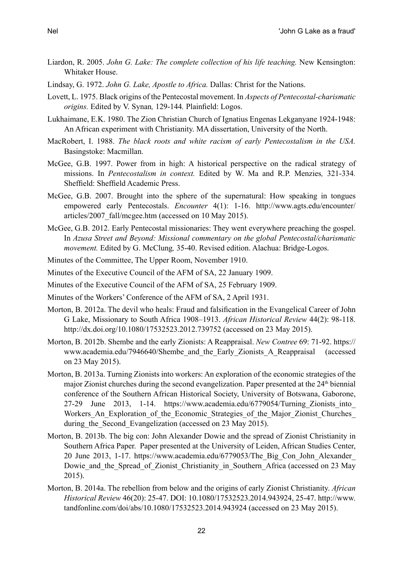- Liardon, R. 2005. *John G. Lake: The complete collection of his life teaching.* New Kensington: Whitaker House.
- Lindsay, G. 1972. *John G. Lake, Apostle to Africa.* Dallas: Christ for the Nations.
- Lovett, L. 1975. Black origins of the Pentecostal movement. In *Aspects of Pentecostal-charismatic origins.* Edited by V. Synan*,* 129-144*.* Plainfield: Logos.
- Lukhaimane, E.K. 1980. The Zion Christian Church of Ignatius Engenas Lekganyane 1924-1948: An African experiment with Christianity. MA dissertation, University of the North.
- MacRobert, I. 1988. *The black roots and white racism of early Pentecostalism in the USA.* Basingstoke: Macmillan.
- McGee, G.B. 1997. Power from in high: A historical perspective on the radical strategy of missions. In *Pentecostalism in context.* Edited by W. Ma and R.P. Menzies*,* 321-334*.* Sheffield: Sheffield Academic Press.
- McGee, G.B. 2007. Brought into the sphere of the supernatural: How speaking in tongues empowered early Pentecostals. *Encounter* 4(1): 1-16. http://www.agts.edu/encounter/ articles/2007\_fall/mcgee.htm (accessed on 10 May 2015).
- McGee, G.B. 2012. Early Pentecostal missionaries: They went everywhere preaching the gospel. In *Azusa Street and Beyond: Missional commentary on the global Pentecostal/charismatic movement.* Edited by G. McClung*,* 35-40. Revised edition. Alachua: Bridge-Logos.
- Minutes of the Committee, The Upper Room, November 1910.
- Minutes of the Executive Council of the AFM of SA, 22 January 1909.
- Minutes of the Executive Council of the AFM of SA, 25 February 1909.
- Minutes of the Workers' Conference of the AFM of SA, 2 April 1931.
- Morton, B. 2012a. The devil who heals: Fraud and falsification in the Evangelical Career of John G Lake, Missionary to South Africa 1908–1913. *African Historical Review* 44(2): 98-118. http://dx.doi.org/10.1080/17532523.2012.739752 (accessed on 23 May 2015).
- Morton, B. 2012b. Shembe and the early Zionists: A Reappraisal. *New Contree* 69: 71-92. https:// www.academia.edu/7946640/Shembe and the Early Zionists\_A\_Reappraisal (accessed on 23 May 2015).
- Morton, B. 2013a. Turning Zionists into workers: An exploration of the economic strategies of the major Zionist churches during the second evangelization. Paper presented at the 24<sup>th</sup> biennial conference of the Southern African Historical Society, University of Botswana, Gaborone, 27-29 June 2013, 1-14. https://www.academia.edu/6779054/Turning\_Zionists\_into\_ Workers An Exploration of the Economic Strategies of the Major Zionist Churches during the Second Evangelization (accessed on 23 May 2015).
- Morton, B. 2013b. The big con: John Alexander Dowie and the spread of Zionist Christianity in Southern Africa Paper. Paper presented at the University of Leiden, African Studies Center, 20 June 2013, 1-17. https://www.academia.edu/6779053/The\_Big\_Con\_John\_Alexander\_ Dowie and the Spread of Zionist Christianity in Southern Africa (accessed on 23 May 2015).
- Morton, B. 2014a. The rebellion from below and the origins of early Zionist Christianity. *African Historical Review* 46(20): 25-47. DOI: 10.1080/17532523.2014.943924, 25-47. http://www. tandfonline.com/doi/abs/10.1080/17532523.2014.943924 (accessed on 23 May 2015).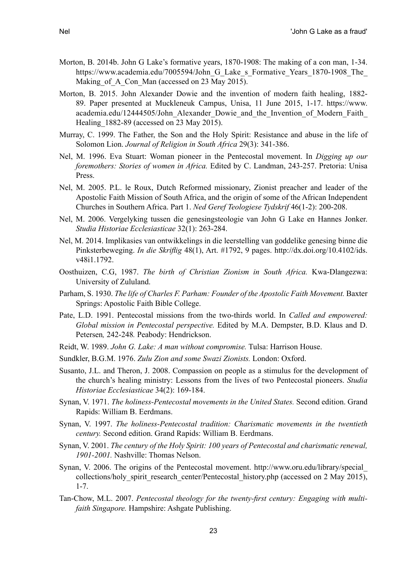- Morton, B. 2014b. John G Lake's formative years, 1870-1908: The making of a con man, 1-34. https://www.academia.edu/7005594/John G Lake s Formative Years 1870-1908 The Making of A Con Man (accessed on 23 May 2015).
- Morton, B. 2015. John Alexander Dowie and the invention of modern faith healing, 1882- 89. Paper presented at Muckleneuk Campus, Unisa, 11 June 2015, 1-17. https://www. academia.edu/12444505/John\_Alexander\_Dowie\_and\_the\_Invention\_of\_Modern\_Faith\_ Healing 1882-89 (accessed on 23 May 2015).
- Murray, C. 1999. The Father, the Son and the Holy Spirit: Resistance and abuse in the life of Solomon Lion. *Journal of Religion in South Africa* 29(3): 341-386.
- Nel, M. 1996. Eva Stuart: Woman pioneer in the Pentecostal movement. In *Digging up our foremothers: Stories of women in Africa.* Edited by C. Landman, 243-257. Pretoria: Unisa Press.
- Nel, M. 2005. P.L. le Roux, Dutch Reformed missionary, Zionist preacher and leader of the Apostolic Faith Mission of South Africa, and the origin of some of the African Independent Churches in Southern Africa. Part 1. *Ned Geref Teologiese Tydskrif* 46(1-2): 200-208.
- Nel, M. 2006. Vergelyking tussen die genesingsteologie van John G Lake en Hannes Jonker. *Studia Historiae Ecclesiasticae* 32(1): 263-284.
- Nel, M. 2014. Implikasies van ontwikkelings in die leerstelling van goddelike genesing binne die Pinksterbeweging. *In die Skriflig* 48(1), Art. #1792, 9 pages. http://dx.doi.org/10.4102/ids. v48i1.1792.
- Oosthuizen, C.G, 1987. *The birth of Christian Zionism in South Africa.* Kwa-Dlangezwa: University of Zululand.
- Parham, S. 1930. *The life of Charles F. Parham: Founder of the Apostolic Faith Movement.* Baxter Springs: Apostolic Faith Bible College.
- Pate, L.D. 1991. Pentecostal missions from the two-thirds world. In *Called and empowered: Global mission in Pentecostal perspective.* Edited by M.A. Dempster, B.D. Klaus and D. Petersen*,* 242-248*.* Peabody: Hendrickson.
- Reidt, W. 1989. *John G. Lake: A man without compromise.* Tulsa: Harrison House.
- Sundkler, B.G.M. 1976. *Zulu Zion and some Swazi Zionists.* London: Oxford.
- Susanto, J.L. and Theron, J. 2008. Compassion on people as a stimulus for the development of the church's healing ministry: Lessons from the lives of two Pentecostal pioneers. *Studia Historiae Ecclesiasticae* 34(2): 169-184.
- Synan, V. 1971. *The holiness-Pentecostal movements in the United States.* Second edition. Grand Rapids: William B. Eerdmans.
- Synan, V. 1997. *The holiness-Pentecostal tradition: Charismatic movements in the twentieth century.* Second edition. Grand Rapids: William B. Eerdmans.
- Synan, V. 2001. *The century of the Holy Spirit: 100 years of Pentecostal and charismatic renewal, 1901-2001.* Nashville: Thomas Nelson.
- Synan, V. 2006. The origins of the Pentecostal movement. http://www.oru.edu/library/special\_ collections/holy spirit research center/Pentecostal history.php (accessed on 2 May 2015), 1-7.
- Tan-Chow, M.L. 2007. *Pentecostal theology for the twenty-first century: Engaging with multifaith Singapore.* Hampshire: Ashgate Publishing.